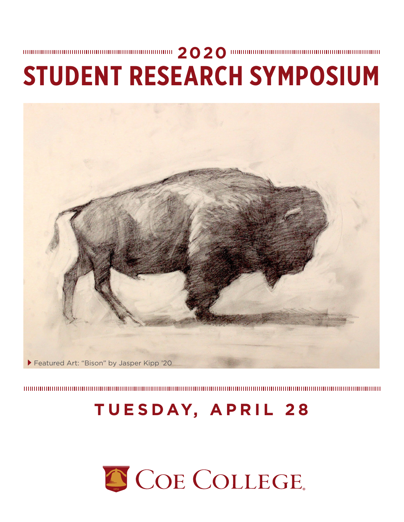

# **TUESDAY, APRIL 28**



# **2020 STUDENT RESEARCH SYMPOSIUM**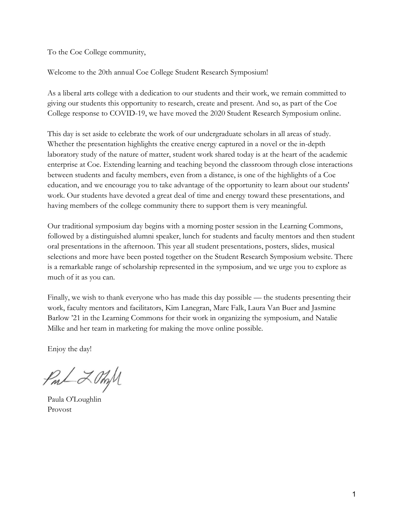To the Coe College community,

Welcome to the 20th annual Coe College Student Research Symposium!

As a liberal arts college with a dedication to our students and their work, we remain committed to giving our students this opportunity to research, create and present. And so, as part of the Coe College response to COVID-19, we have moved the 2020 Student Research Symposium online.

This day is set aside to celebrate the work of our undergraduate scholars in all areas of study. Whether the presentation highlights the creative energy captured in a novel or the in-depth laboratory study of the nature of matter, student work shared today is at the heart of the academic enterprise at Coe. Extending learning and teaching beyond the classroom through close interactions between students and faculty members, even from a distance, is one of the highlights of a Coe education, and we encourage you to take advantage of the opportunity to learn about our students' work. Our students have devoted a great deal of time and energy toward these presentations, and having members of the college community there to support them is very meaningful.

Our traditional symposium day begins with a morning poster session in the Learning Commons, followed by a distinguished alumni speaker, lunch for students and faculty mentors and then student oral presentations in the afternoon. This year all student presentations, posters, slides, musical selections and more have been posted together on the Student Research Symposium website. There is a remarkable range of scholarship represented in the symposium, and we urge you to explore as much of it as you can.

 Finally, we wish to thank everyone who has made this day possible — the students presenting their work, faculty mentors and facilitators, Kim Lanegran, Marc Falk, Laura Van Buer and Jasmine Barlow '21 in the Learning Commons for their work in organizing the symposium, and Natalie Milke and her team in marketing for making the move online possible.

Enjoy the day!

PmL Z OmM

Paula O'Loughlin Provost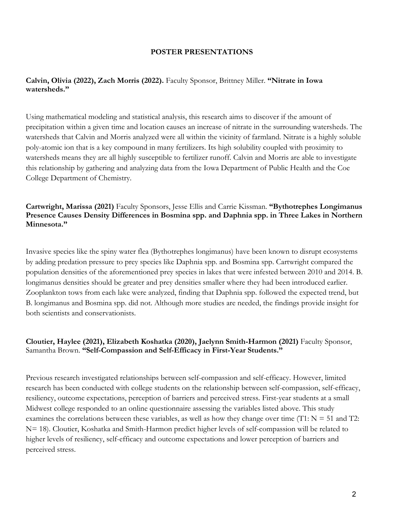#### **POSTER PRESENTATIONS**

#### **Calvin, Olivia (2022), Zach Morris (2022).** Faculty Sponsor, Brittney Miller. **"Nitrate in Iowa watersheds."**

Using mathematical modeling and statistical analysis, this research aims to discover if the amount of precipitation within a given time and location causes an increase of nitrate in the surrounding watersheds. The watersheds that Calvin and Morris analyzed were all within the vicinity of farmland. Nitrate is a highly soluble poly-atomic ion that is a key compound in many fertilizers. Its high solubility coupled with proximity to watersheds means they are all highly susceptible to fertilizer runoff. Calvin and Morris are able to investigate this relationship by gathering and analyzing data from the Iowa Department of Public Health and the Coe College Department of Chemistry.

#### **Cartwright, Marissa (2021)** Faculty Sponsors, Jesse Ellis and Carrie Kissman. **"Bythotrephes Longimanus Presence Causes Density Differences in Bosmina spp. and Daphnia spp. in Three Lakes in Northern Minnesota."**

Invasive species like the spiny water flea (Bythotrephes longimanus) have been known to disrupt ecosystems by adding predation pressure to prey species like Daphnia spp. and Bosmina spp. Cartwright compared the population densities of the aforementioned prey species in lakes that were infested between 2010 and 2014. B. longimanus densities should be greater and prey densities smaller where they had been introduced earlier. Zooplankton tows from each lake were analyzed, finding that Daphnia spp. followed the expected trend, but B. longimanus and Bosmina spp. did not. Although more studies are needed, the findings provide insight for both scientists and conservationists.

#### **Cloutier, Haylee (2021), Elizabeth Koshatka (2020), Jaelynn Smith-Harmon (2021)** Faculty Sponsor, Samantha Brown. **"Self-Compassion and Self-Efficacy in First-Year Students."**

Previous research investigated relationships between self-compassion and self-efficacy. However, limited research has been conducted with college students on the relationship between self-compassion, self-efficacy, resiliency, outcome expectations, perception of barriers and perceived stress. First-year students at a small Midwest college responded to an online questionnaire assessing the variables listed above. This study examines the correlations between these variables, as well as how they change over time  $(T1: N = 51$  and T2: N= 18). Cloutier, Koshatka and Smith-Harmon predict higher levels of self-compassion will be related to higher levels of resiliency, self-efficacy and outcome expectations and lower perception of barriers and perceived stress.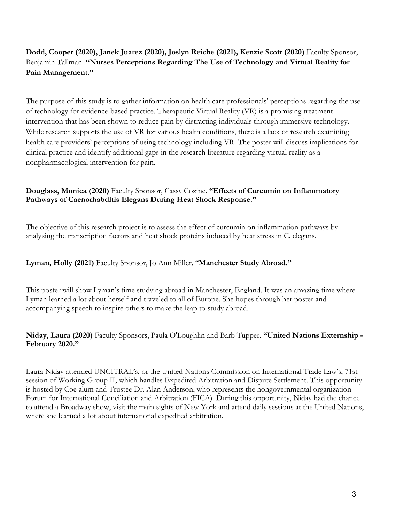# **Dodd, Cooper (2020), Janek Juarez (2020), Joslyn Reiche (2021), Kenzie Scott (2020)** Faculty Sponsor, Benjamin Tallman. **"Nurses Perceptions Regarding The Use of Technology and Virtual Reality for Pain Management."**

The purpose of this study is to gather information on health care professionals' perceptions regarding the use of technology for evidence-based practice. Therapeutic Virtual Reality (VR) is a promising treatment intervention that has been shown to reduce pain by distracting individuals through immersive technology. While research supports the use of VR for various health conditions, there is a lack of research examining health care providers' perceptions of using technology including VR. The poster will discuss implications for clinical practice and identify additional gaps in the research literature regarding virtual reality as a nonpharmacological intervention for pain.

#### **Douglass, Monica (2020)** Faculty Sponsor, Cassy Cozine. **"Effects of Curcumin on Inflammatory Pathways of Caenorhabditis Elegans During Heat Shock Response."**

The objective of this research project is to assess the effect of curcumin on inflammation pathways by analyzing the transcription factors and heat shock proteins induced by heat stress in C. elegans.

#### **Lyman, Holly (2021)** Faculty Sponsor, Jo Ann Miller. "**Manchester Study Abroad."**

This poster will show Lyman's time studying abroad in Manchester, England. It was an amazing time where Lyman learned a lot about herself and traveled to all of Europe. She hopes through her poster and accompanying speech to inspire others to make the leap to study abroad.

# **Niday, Laura (2020)** Faculty Sponsors, Paula O'Loughlin and Barb Tupper. **"United Nations Externship - February 2020."**

Laura Niday attended UNCITRAL's, or the United Nations Commission on International Trade Law's, 71st session of Working Group II, which handles Expedited Arbitration and Dispute Settlement. This opportunity is hosted by Coe alum and Trustee Dr. Alan Anderson, who represents the nongovernmental organization Forum for International Conciliation and Arbitration (FICA). During this opportunity, Niday had the chance to attend a Broadway show, visit the main sights of New York and attend daily sessions at the United Nations, where she learned a lot about international expedited arbitration.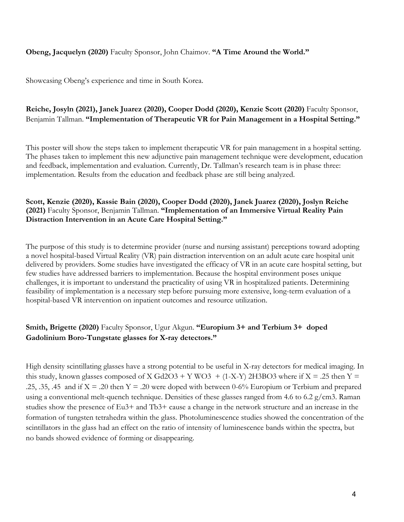#### **Obeng, Jacquelyn (2020)** Faculty Sponsor, John Chaimov. **"A Time Around the World."**

Showcasing Obeng's experience and time in South Korea.

# **Reiche, Josyln (2021), Janek Juarez (2020), Cooper Dodd (2020), Kenzie Scott (2020)** Faculty Sponsor, Benjamin Tallman. **"Implementation of Therapeutic VR for Pain Management in a Hospital Setting."**

This poster will show the steps taken to implement therapeutic VR for pain management in a hospital setting. The phases taken to implement this new adjunctive pain management technique were development, education and feedback, implementation and evaluation. Currently, Dr. Tallman's research team is in phase three: implementation. Results from the education and feedback phase are still being analyzed.

#### **Scott, Kenzie (2020), Kassie Bain (2020), Cooper Dodd (2020), Janek Juarez (2020), Joslyn Reiche (2021)** Faculty Sponsor, Benjamin Tallman. **"Implementation of an Immersive Virtual Reality Pain Distraction Intervention in an Acute Care Hospital Setting."**

The purpose of this study is to determine provider (nurse and nursing assistant) perceptions toward adopting a novel hospital-based Virtual Reality (VR) pain distraction intervention on an adult acute care hospital unit delivered by providers. Some studies have investigated the efficacy of VR in an acute care hospital setting, but few studies have addressed barriers to implementation. Because the hospital environment poses unique challenges, it is important to understand the practicality of using VR in hospitalized patients. Determining feasibility of implementation is a necessary step before pursuing more extensive, long-term evaluation of a hospital-based VR intervention on inpatient outcomes and resource utilization.

# **Smith, Brigette (2020)** Faculty Sponsor, Ugur Akgun. **"Europium 3+ and Terbium 3+ doped Gadolinium Boro-Tungstate glasses for X-ray detectors."**

High density scintillating glasses have a strong potential to be useful in X-ray detectors for medical imaging. In this study, known glasses composed of X Gd2O3 + Y WO3 + (1-X-Y) 2H3BO3 where if X = .25 then Y = .25, .35, .45 and if  $X = .20$  then  $Y = .20$  were doped with between 0-6% Europium or Terbium and prepared using a conventional melt-quench technique. Densities of these glasses ranged from 4.6 to 6.2  $g/cm3$ . Raman studies show the presence of Eu3+ and Tb3+ cause a change in the network structure and an increase in the formation of tungsten tetrahedra within the glass. Photoluminescence studies showed the concentration of the scintillators in the glass had an effect on the ratio of intensity of luminescence bands within the spectra, but no bands showed evidence of forming or disappearing.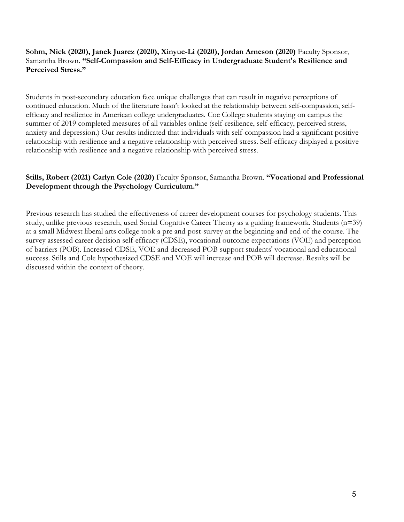#### **Sohm, Nick (2020), Janek Juarez (2020), Xinyue-Li (2020), Jordan Arneson (2020)** Faculty Sponsor, Samantha Brown. **"Self-Compassion and Self-Efficacy in Undergraduate Student's Resilience and Perceived Stress."**

Students in post-secondary education face unique challenges that can result in negative perceptions of continued education. Much of the literature hasn't looked at the relationship between self-compassion, selfefficacy and resilience in American college undergraduates. Coe College students staying on campus the summer of 2019 completed measures of all variables online (self-resilience, self-efficacy, perceived stress, anxiety and depression.) Our results indicated that individuals with self-compassion had a significant positive relationship with resilience and a negative relationship with perceived stress. Self-efficacy displayed a positive relationship with resilience and a negative relationship with perceived stress.

#### **Stills, Robert (2021) Carlyn Cole (2020)** Faculty Sponsor, Samantha Brown. **"Vocational and Professional Development through the Psychology Curriculum."**

Previous research has studied the effectiveness of career development courses for psychology students. This study, unlike previous research, used Social Cognitive Career Theory as a guiding framework. Students (n=39) at a small Midwest liberal arts college took a pre and post-survey at the beginning and end of the course. The survey assessed career decision self-efficacy (CDSE), vocational outcome expectations (VOE) and perception of barriers (POB). Increased CDSE, VOE and decreased POB support students' vocational and educational success. Stills and Cole hypothesized CDSE and VOE will increase and POB will decrease. Results will be discussed within the context of theory.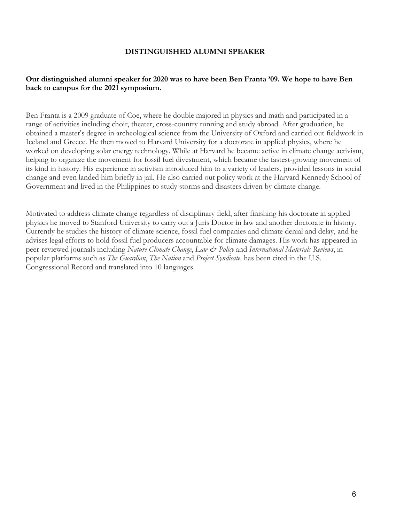#### **DISTINGUISHED ALUMNI SPEAKER**

#### **Our distinguished alumni speaker for 2020 was to have been Ben Franta '09. We hope to have Ben back to campus for the 2021 symposium.**

Ben Franta is a 2009 graduate of Coe, where he double majored in physics and math and participated in a range of activities including choir, theater, cross-country running and study abroad. After graduation, he obtained a master's degree in archeological science from the University of Oxford and carried out fieldwork in Iceland and Greece. He then moved to Harvard University for a doctorate in applied physics, where he worked on developing solar energy technology. While at Harvard he became active in climate change activism, helping to organize the movement for fossil fuel divestment, which became the fastest-growing movement of its kind in history. His experience in activism introduced him to a variety of leaders, provided lessons in social change and even landed him briefly in jail. He also carried out policy work at the Harvard Kennedy School of Government and lived in the Philippines to study storms and disasters driven by climate change.

Motivated to address climate change regardless of disciplinary field, after finishing his doctorate in applied physics he moved to Stanford University to carry out a Juris Doctor in law and another doctorate in history. Currently he studies the history of climate science, fossil fuel companies and climate denial and delay, and he advises legal efforts to hold fossil fuel producers accountable for climate damages. His work has appeared in peer-reviewed journals including *Nature Climate Change*, *Law & Policy* and *International Materials Reviews*, in popular platforms such as *The Guardian*, *The Nation* and *Project Syndicate,* has been cited in the U.S. Congressional Record and translated into 10 languages.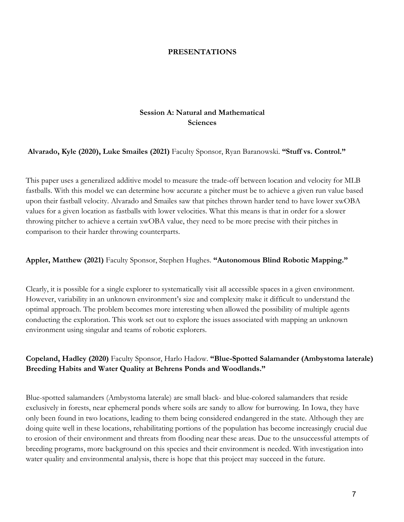#### **PRESENTATIONS**

#### **Session A: Natural and Mathematical Sciences**

#### **Alvarado, Kyle (2020), Luke Smailes (2021)** Faculty Sponsor, Ryan Baranowski. **"Stuff vs. Control."**

This paper uses a generalized additive model to measure the trade-off between location and velocity for MLB fastballs. With this model we can determine how accurate a pitcher must be to achieve a given run value based upon their fastball velocity. Alvarado and Smailes saw that pitches thrown harder tend to have lower xwOBA values for a given location as fastballs with lower velocities. What this means is that in order for a slower throwing pitcher to achieve a certain xwOBA value, they need to be more precise with their pitches in comparison to their harder throwing counterparts.

#### **Appler, Matthew (2021)** Faculty Sponsor, Stephen Hughes. **"Autonomous Blind Robotic Mapping."**

Clearly, it is possible for a single explorer to systematically visit all accessible spaces in a given environment. However, variability in an unknown environment's size and complexity make it difficult to understand the optimal approach. The problem becomes more interesting when allowed the possibility of multiple agents conducting the exploration. This work set out to explore the issues associated with mapping an unknown environment using singular and teams of robotic explorers.

# **Copeland, Hadley (2020)** Faculty Sponsor, Harlo Hadow. **"Blue-Spotted Salamander (Ambystoma laterale) Breeding Habits and Water Quality at Behrens Ponds and Woodlands."**

Blue-spotted salamanders (Ambystoma laterale) are small black- and blue-colored salamanders that reside exclusively in forests, near ephemeral ponds where soils are sandy to allow for burrowing. In Iowa, they have only been found in two locations, leading to them being considered endangered in the state. Although they are doing quite well in these locations, rehabilitating portions of the population has become increasingly crucial due to erosion of their environment and threats from flooding near these areas. Due to the unsuccessful attempts of breeding programs, more background on this species and their environment is needed. With investigation into water quality and environmental analysis, there is hope that this project may succeed in the future.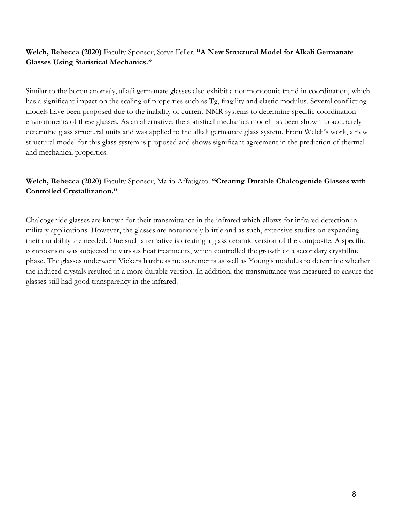# **Welch, Rebecca (2020)** Faculty Sponsor, Steve Feller. **"A New Structural Model for Alkali Germanate Glasses Using Statistical Mechanics."**

Similar to the boron anomaly, alkali germanate glasses also exhibit a nonmonotonic trend in coordination, which has a significant impact on the scaling of properties such as Tg, fragility and elastic modulus. Several conflicting models have been proposed due to the inability of current NMR systems to determine specific coordination environments of these glasses. As an alternative, the statistical mechanics model has been shown to accurately determine glass structural units and was applied to the alkali germanate glass system. From Welch's work, a new structural model for this glass system is proposed and shows significant agreement in the prediction of thermal and mechanical properties.

# **Welch, Rebecca (2020)** Faculty Sponsor, Mario Affatigato. **"Creating Durable Chalcogenide Glasses with Controlled Crystallization."**

Chalcogenide glasses are known for their transmittance in the infrared which allows for infrared detection in military applications. However, the glasses are notoriously brittle and as such, extensive studies on expanding their durability are needed. One such alternative is creating a glass ceramic version of the composite. A specific composition was subjected to various heat treatments, which controlled the growth of a secondary crystalline phase. The glasses underwent Vickers hardness measurements as well as Young's modulus to determine whether the induced crystals resulted in a more durable version. In addition, the transmittance was measured to ensure the glasses still had good transparency in the infrared.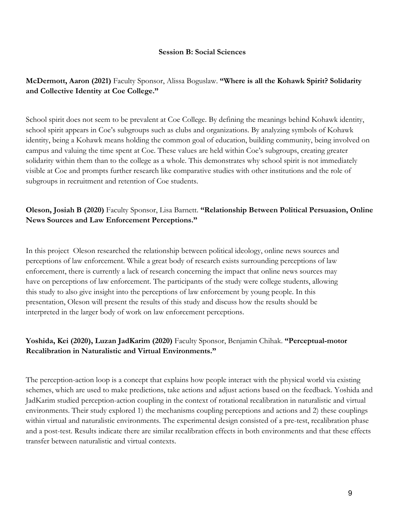#### **Session B: Social Sciences**

# **McDermott, Aaron (2021)** Faculty Sponsor, Alissa Boguslaw. **"Where is all the Kohawk Spirit? Solidarity and Collective Identity at Coe College."**

School spirit does not seem to be prevalent at Coe College. By defining the meanings behind Kohawk identity, school spirit appears in Coe's subgroups such as clubs and organizations. By analyzing symbols of Kohawk identity, being a Kohawk means holding the common goal of education, building community, being involved on campus and valuing the time spent at Coe. These values are held within Coe's subgroups, creating greater solidarity within them than to the college as a whole. This demonstrates why school spirit is not immediately visible at Coe and prompts further research like comparative studies with other institutions and the role of subgroups in recruitment and retention of Coe students.

# **Oleson, Josiah B (2020)** Faculty Sponsor, Lisa Barnett. **"Relationship Between Political Persuasion, Online News Sources and Law Enforcement Perceptions."**

In this project Oleson researched the relationship between political ideology, online news sources and perceptions of law enforcement. While a great body of research exists surrounding perceptions of law enforcement, there is currently a lack of research concerning the impact that online news sources may have on perceptions of law enforcement. The participants of the study were college students, allowing this study to also give insight into the perceptions of law enforcement by young people. In this presentation, Oleson will present the results of this study and discuss how the results should be interpreted in the larger body of work on law enforcement perceptions.

# **Yoshida, Kei (2020), Luzan JadKarim (2020)** Faculty Sponsor, Benjamin Chihak. **"Perceptual-motor Recalibration in Naturalistic and Virtual Environments."**

The perception-action loop is a concept that explains how people interact with the physical world via existing schemes, which are used to make predictions, take actions and adjust actions based on the feedback. Yoshida and JadKarim studied perception-action coupling in the context of rotational recalibration in naturalistic and virtual environments. Their study explored 1) the mechanisms coupling perceptions and actions and 2) these couplings within virtual and naturalistic environments. The experimental design consisted of a pre-test, recalibration phase and a post-test. Results indicate there are similar recalibration effects in both environments and that these effects transfer between naturalistic and virtual contexts.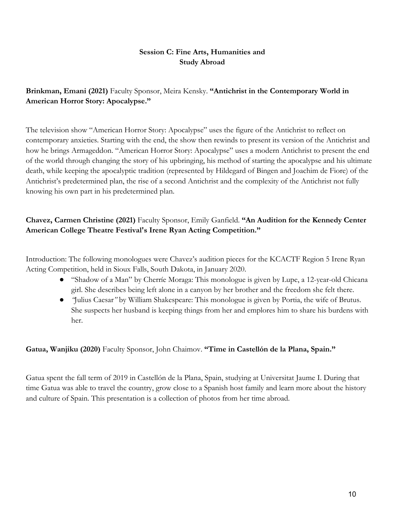# **Session C: Fine Arts, Humanities and Study Abroad**

# **Brinkman, Emani (2021)** Faculty Sponsor, Meira Kensky. **"Antichrist in the Contemporary World in American Horror Story: Apocalypse."**

The television show "American Horror Story: Apocalypse" uses the figure of the Antichrist to reflect on contemporary anxieties. Starting with the end, the show then rewinds to present its version of the Antichrist and how he brings Armageddon. "American Horror Story: Apocalypse" uses a modern Antichrist to present the end of the world through changing the story of his upbringing, his method of starting the apocalypse and his ultimate death, while keeping the apocalyptic tradition (represented by Hildegard of Bingen and Joachim de Fiore) of the Antichrist's predetermined plan, the rise of a second Antichrist and the complexity of the Antichrist not fully knowing his own part in his predetermined plan.

# **Chavez, Carmen Christine (2021)** Faculty Sponsor, Emily Ganfield. **"An Audition for the Kennedy Center American College Theatre Festival's Irene Ryan Acting Competition."**

Introduction: The following monologues were Chavez's audition pieces for the KCACTF Region 5 Irene Ryan Acting Competition, held in Sioux Falls, South Dakota, in January 2020.

- "Shadow of a Man" by Cherríe Moraga: This monologue is given by Lupe, a 12-year-old Chicana girl. She describes being left alone in a canyon by her brother and the freedom she felt there.
- *"*Julius Caesar*"* by William Shakespeare: This monologue is given by Portia, the wife of Brutus. She suspects her husband is keeping things from her and emplores him to share his burdens with her.

# **Gatua, Wanjiku (2020)** Faculty Sponsor, John Chaimov. **"Time in Castellón de la Plana, Spain."**

Gatua spent the fall term of 2019 in Castellón de la Plana, Spain, studying at Universitat Jaume I. During that time Gatua was able to travel the country, grow close to a Spanish host family and learn more about the history and culture of Spain. This presentation is a collection of photos from her time abroad.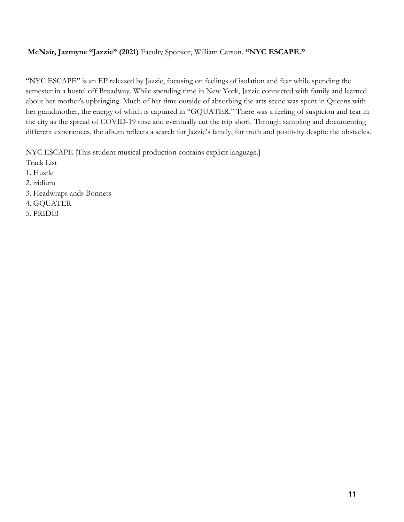#### **McNair, Jazmyne "Jazzie" (2021)** Faculty Sponsor, William Carson. **"NYC ESCAPE."**

"NYC ESCAPE" is an EP released by Jazzie, focusing on feelings of isolation and fear while spending the semester in a hostel off Broadway. While spending time in New York, Jazzie connected with family and learned about her mother's upbringing. Much of her time outside of absorbing the arts scene was spent in Queens with her grandmother, the energy of which is captured in "GQUATER." There was a feeling of suspicion and fear in the city as the spread of COVID-19 rose and eventually cut the trip short. Through sampling and documenting different experiences, the album reflects a search for Jazzie's family, for truth and positivity despite the obstacles.

NYC ESCAPE [This student musical production contains explicit language.]

- Track List
- 1. Hustle
- 2. iridium
- 3. Headwraps ands Bonnets
- 4. GQUATER
- 5. PRIDE!